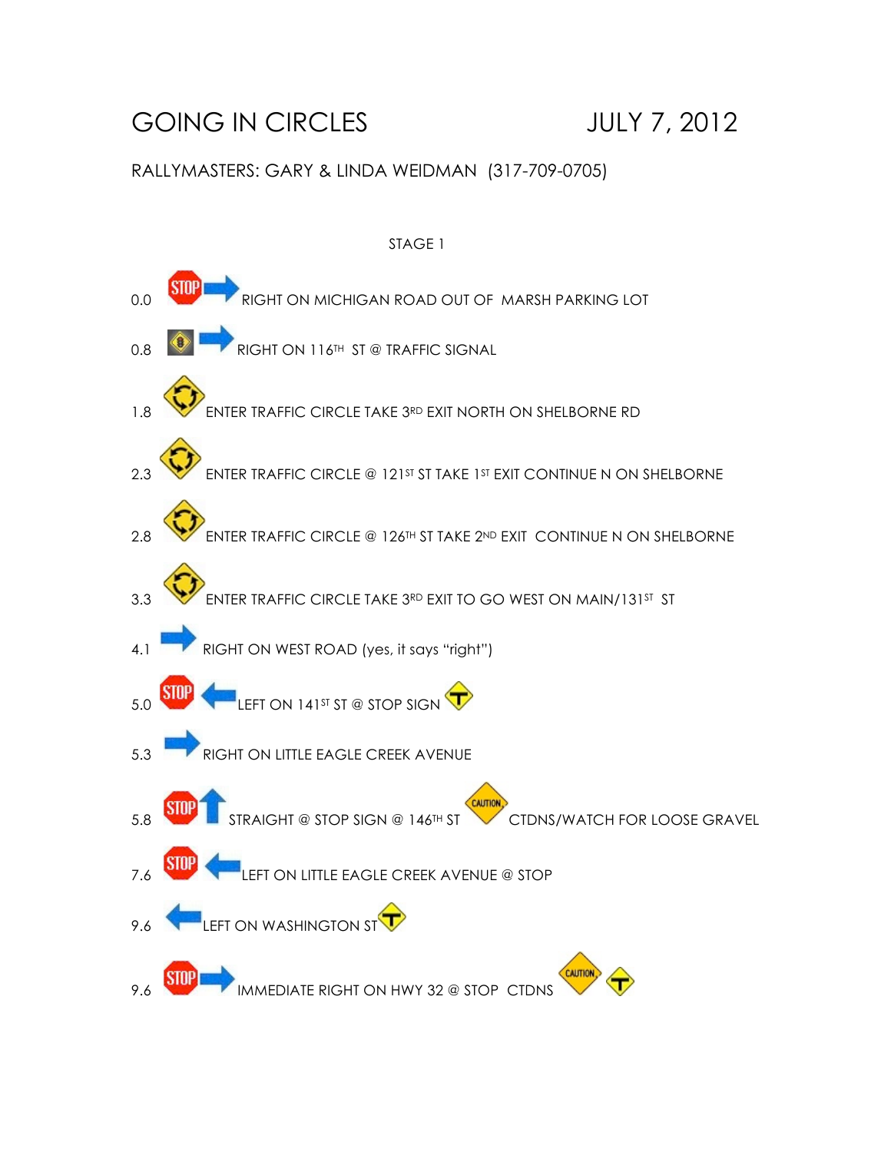## GOING IN CIRCLES JULY 7, 2012

## RALLYMASTERS: GARY & LINDA WEIDMAN (317-709-0705)

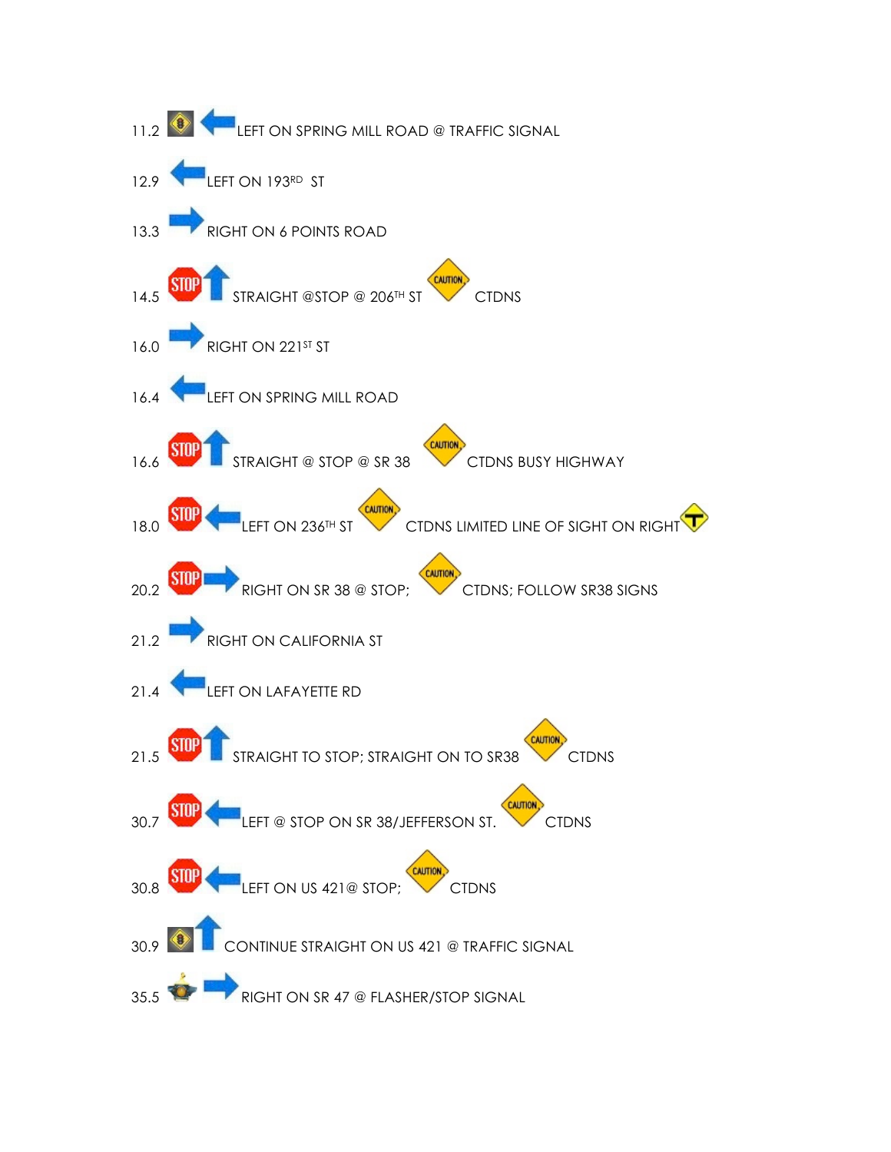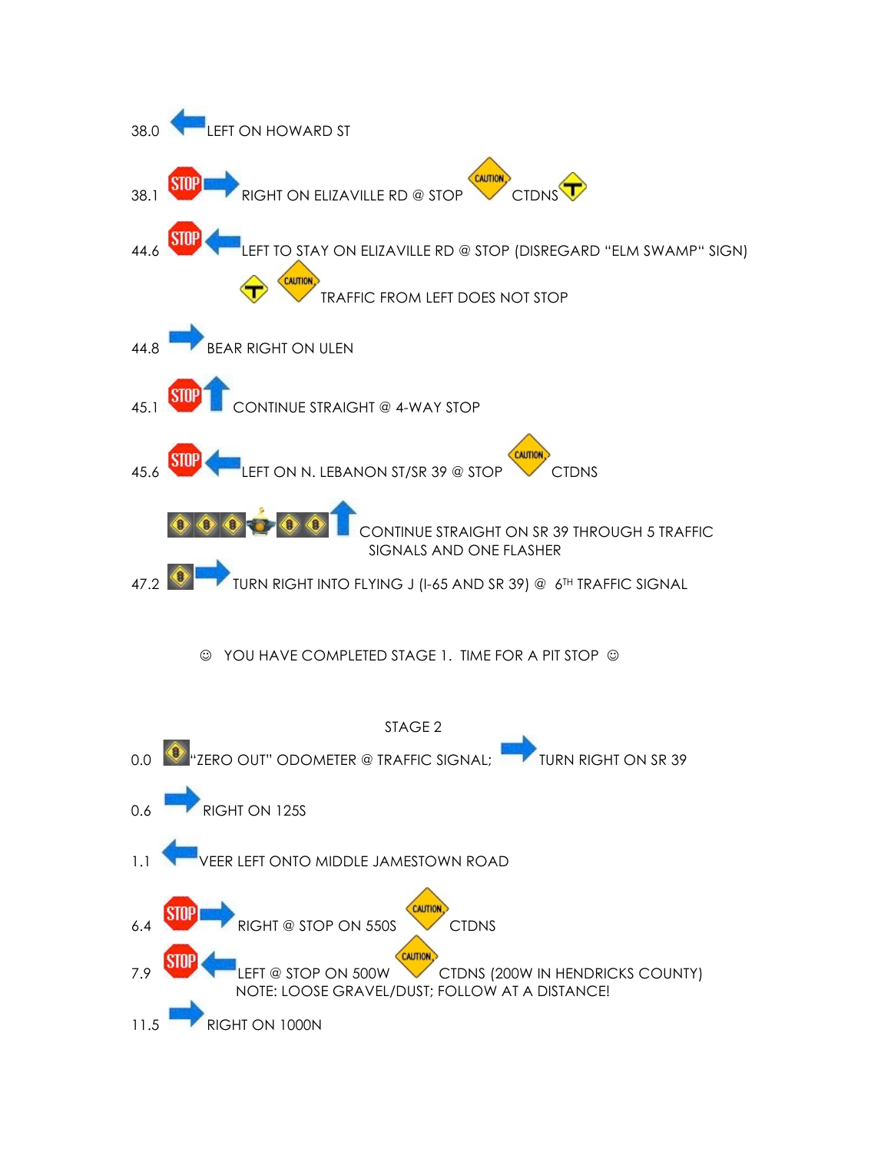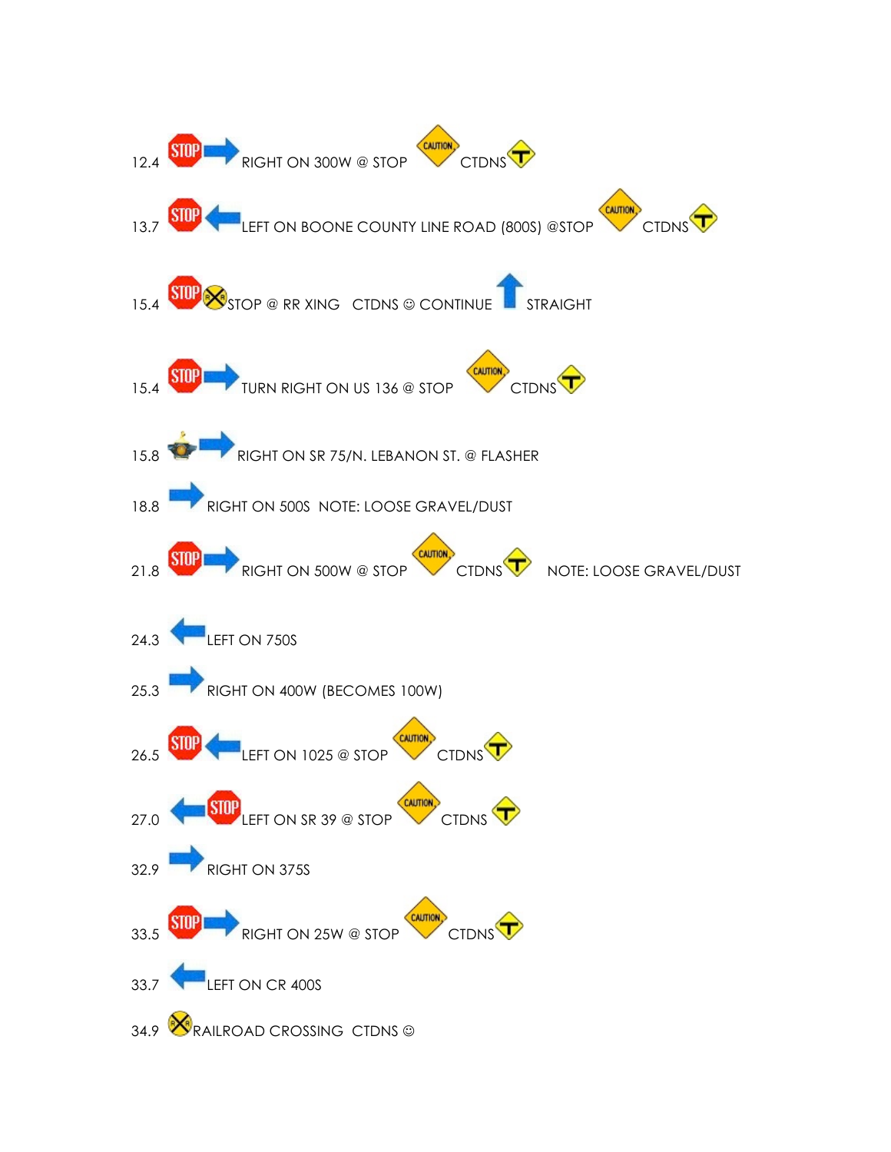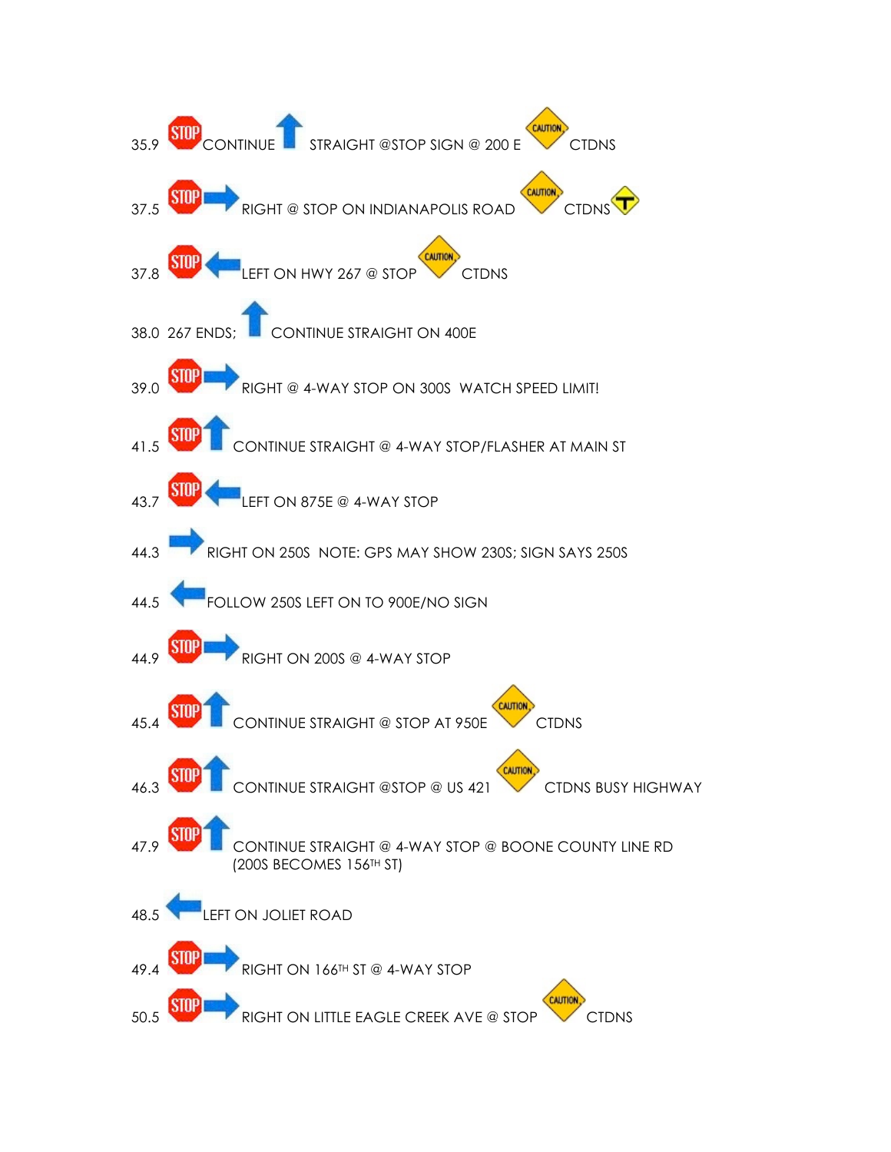